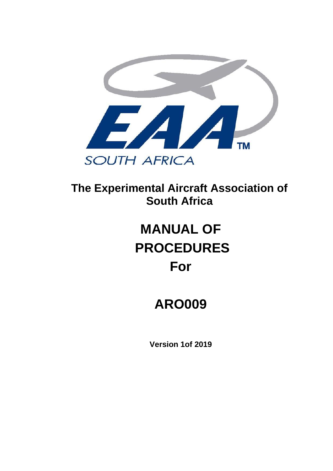

**The Experimental Aircraft Association of South Africa** 

# **MANUAL OF PROCEDURES For**

# **ARO009**

**Version 1of 2019**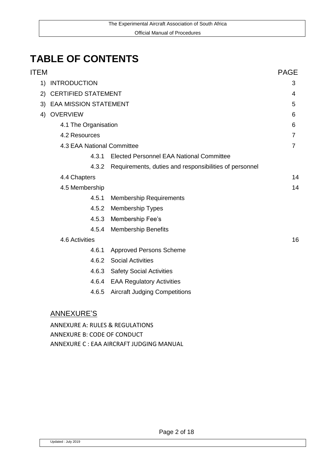# **TABLE OF CONTENTS**

| ITEM |                            |                                                        | <b>PAGE</b>    |
|------|----------------------------|--------------------------------------------------------|----------------|
| 1)   | <b>INTRODUCTION</b>        |                                                        | 3              |
| 2)   | <b>CERTIFIED STATEMENT</b> |                                                        |                |
|      | 3) EAA MISSION STATEMENT   |                                                        |                |
| 4)   | <b>OVERVIEW</b>            |                                                        | 6              |
|      | 4.1 The Organisation       |                                                        | 6              |
|      | 4.2 Resources              |                                                        | $\overline{7}$ |
|      |                            | 4.3 EAA National Committee                             |                |
|      | 4.3.1                      | Elected Personnel EAA National Committee               |                |
|      | 4.3.2                      | Requirements, duties and responsibilities of personnel |                |
|      | 4.4 Chapters               |                                                        | 14             |
|      | 4.5 Membership             |                                                        | 14             |
|      | 4.5.1                      | <b>Membership Requirements</b>                         |                |
|      | 4.5.2                      | <b>Membership Types</b>                                |                |
|      | 4.5.3                      | Membership Fee's                                       |                |
|      | 4.5.4                      | <b>Membership Benefits</b>                             |                |
|      | 4.6 Activities             |                                                        | 16             |
|      | 4.6.1                      | <b>Approved Persons Scheme</b>                         |                |
|      | 4.6.2                      | <b>Social Activities</b>                               |                |
|      | 4.6.3                      | <b>Safety Social Activities</b>                        |                |
|      | 4.6.4                      | <b>EAA Regulatory Activities</b>                       |                |
|      | 4.6.5                      | <b>Aircraft Judging Competitions</b>                   |                |
|      |                            |                                                        |                |
|      |                            |                                                        |                |

#### ANNEXURE'S

ANNEXURE A: RULES & REGULATIONS ANNEXURE B: CODE OF CONDUCT ANNEXURE C : EAA AIRCRAFT JUDGING MANUAL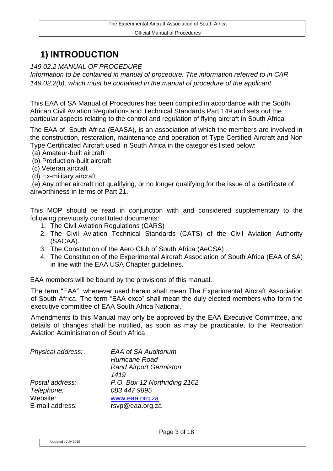## **1) INTRODUCTION**

*149.02.2 MANUAL OF PROCEDURE* 

*Information to be contained in manual of procedure. The information referred to in CAR 149.02.2(b), which must be contained in the manual of procedure of the applicant*

This EAA of SA Manual of Procedures has been compiled in accordance with the South African Civil Aviation Regulations and Technical Standards Part 149 and sets out the particular aspects relating to the control and regulation of flying aircraft in South Africa

The EAA of South Africa (EAASA), is an association of which the members are involved in the construction, restoration, maintenance and operation of Type Certified Aircraft and Non Type Certificated Aircraft used in South Africa in the categories listed below:

(a) Amateur-built aircraft

(b) Production-built aircraft

- (c) Veteran aircraft
- (d) Ex-military aircraft

(e) Any other aircraft not qualifying, or no longer qualifying for the issue of a certificate of airworthiness in terms of Part 21.

This MOP should be read in conjunction with and considered supplementary to the following previously constituted documents:

- 1. The Civil Aviation Regulations (CARS)
- 2. The Civil Aviation Technical Standards (CATS) of the Civil Aviation Authority (SACAA).
- 3. The Constitution of the Aero Club of South Africa (AeCSA)
- 4. The Constitution of the Experimental Aircraft Association of South Africa (EAA of SA) in line with the EAA USA Chapter guidelines.

EAA members will be bound by the provisions of this manual.

The term "EAA", whenever used herein shall mean The Experimental Aircraft Association of South Africa. The term "EAA exco" shall mean the duly elected members who form the executive committee of EAA South Africa National.

Amendments to this Manual may only be approved by the EAA Executive Committee, and details of changes shall be notified, as soon as may be practicable, to the Recreation Aviation Administration of South Africa

| Physical address: | <b>EAA of SA Auditorium</b><br><b>Hurricane Road</b><br><b>Rand Airport Germiston</b><br>1419 |
|-------------------|-----------------------------------------------------------------------------------------------|
| Postal address:   | P.O. Box 12 Northriding 2162                                                                  |
| Telephone:        | 083 447 9895                                                                                  |
| Website:          | www.eaa.org.za                                                                                |
| E-mail address:   | rsvp@eaa.org.za                                                                               |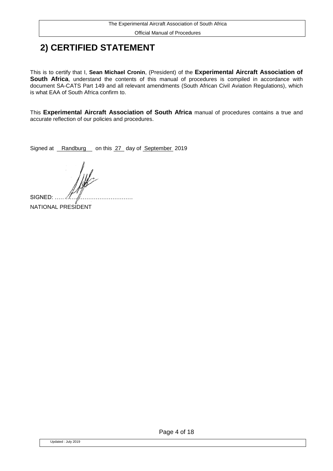Official Manual of Procedures

### **2) CERTIFIED STATEMENT**

This is to certify that I, **Sean Michael Cronin**, (President) of the **Experimental Aircraft Association of South Africa**, understand the contents of this manual of procedures is compiled in accordance with document SA-CATS Part 149 and all relevant amendments (South African Civil Aviation Regulations), which is what EAA of South Africa confirm to.

This **Experimental Aircraft Association of South Africa** manual of procedures contains a true and accurate reflection of our policies and procedures.

Signed at Randburg on this 27 day of September 2019

SIGNED: .

NATIONAL PRESIDENT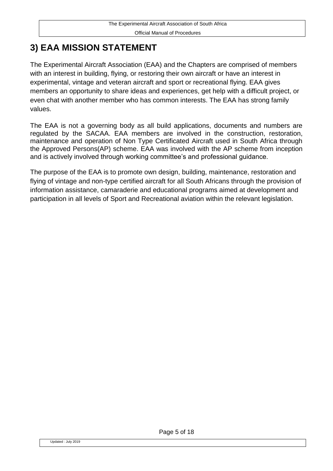## **3) EAA MISSION STATEMENT**

The Experimental Aircraft Association (EAA) and the Chapters are comprised of members with an interest in building, flying, or restoring their own aircraft or have an interest in experimental, vintage and veteran aircraft and sport or recreational flying. EAA gives members an opportunity to share ideas and experiences, get help with a difficult project, or even chat with another member who has common interests. The EAA has strong family values.

The EAA is not a governing body as all build applications, documents and numbers are regulated by the SACAA. EAA members are involved in the construction, restoration, maintenance and operation of Non Type Certificated Aircraft used in South Africa through the Approved Persons(AP) scheme. EAA was involved with the AP scheme from inception and is actively involved through working committee's and professional guidance.

The purpose of the EAA is to promote own design, building, maintenance, restoration and flying of vintage and non-type certified aircraft for all South Africans through the provision of information assistance, camaraderie and educational programs aimed at development and participation in all levels of Sport and Recreational aviation within the relevant legislation.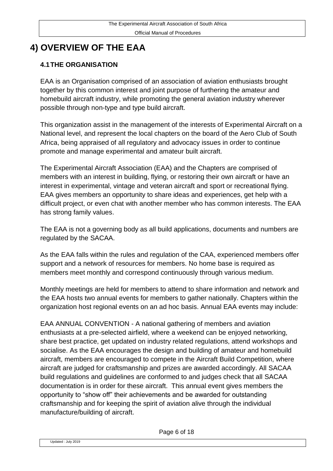# **4) OVERVIEW OF THE EAA**

#### **4.1THE ORGANISATION**

EAA is an Organisation comprised of an association of aviation enthusiasts brought together by this common interest and joint purpose of furthering the amateur and homebuild aircraft industry, while promoting the general aviation industry wherever possible through non-type and type build aircraft.

This organization assist in the management of the interests of Experimental Aircraft on a National level, and represent the local chapters on the board of the Aero Club of South Africa, being appraised of all regulatory and advocacy issues in order to continue promote and manage experimental and amateur built aircraft.

The Experimental Aircraft Association (EAA) and the Chapters are comprised of members with an interest in building, flying, or restoring their own aircraft or have an interest in experimental, vintage and veteran aircraft and sport or recreational flying. EAA gives members an opportunity to share ideas and experiences, get help with a difficult project, or even chat with another member who has common interests. The EAA has strong family values.

The EAA is not a governing body as all build applications, documents and numbers are regulated by the SACAA.

As the EAA falls within the rules and regulation of the CAA, experienced members offer support and a network of resources for members. No home base is required as members meet monthly and correspond continuously through various medium.

Monthly meetings are held for members to attend to share information and network and the EAA hosts two annual events for members to gather nationally. Chapters within the organization host regional events on an ad hoc basis. Annual EAA events may include:

EAA ANNUAL CONVENTION - A national gathering of members and aviation enthusiasts at a pre-selected airfield, where a weekend can be enjoyed networking, share best practice, get updated on industry related regulations, attend workshops and socialise. As the EAA encourages the design and building of amateur and homebuild aircraft, members are encouraged to compete in the Aircraft Build Competition, where aircraft are judged for craftsmanship and prizes are awarded accordingly. All SACAA build regulations and guidelines are conformed to and judges check that all SACAA documentation is in order for these aircraft. This annual event gives members the opportunity to "show off" their achievements and be awarded for outstanding craftsmanship and for keeping the spirit of aviation alive through the individual manufacture/building of aircraft.

Page 6 of 18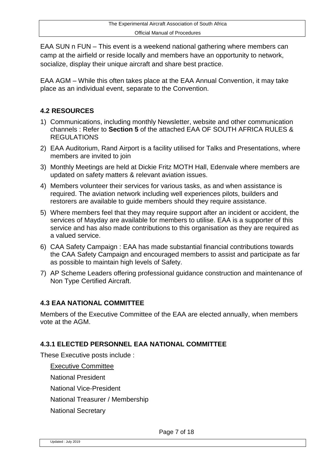EAA SUN n FUN – This event is a weekend national gathering where members can camp at the airfield or reside locally and members have an opportunity to network, socialize, display their unique aircraft and share best practice.

EAA AGM – While this often takes place at the EAA Annual Convention, it may take place as an individual event, separate to the Convention.

#### **4.2 RESOURCES**

- 1) Communications, including monthly Newsletter, website and other communication channels : Refer to **Section 5** of the attached EAA OF SOUTH AFRICA RULES & **REGULATIONS**
- 2) EAA Auditorium, Rand Airport is a facility utilised for Talks and Presentations, where members are invited to join
- 3) Monthly Meetings are held at Dickie Fritz MOTH Hall, Edenvale where members are updated on safety matters & relevant aviation issues.
- 4) Members volunteer their services for various tasks, as and when assistance is required. The aviation network including well experiences pilots, builders and restorers are available to guide members should they require assistance.
- 5) Where members feel that they may require support after an incident or accident, the services of Mayday are available for members to utilise. EAA is a supporter of this service and has also made contributions to this organisation as they are required as a valued service.
- 6) CAA Safety Campaign : EAA has made substantial financial contributions towards the CAA Safety Campaign and encouraged members to assist and participate as far as possible to maintain high levels of Safety.
- 7) AP Scheme Leaders offering professional guidance construction and maintenance of Non Type Certified Aircraft.

#### **4.3 EAA NATIONAL COMMITTEE**

Members of the Executive Committee of the EAA are elected annually, when members vote at the AGM.

#### **4.3.1 ELECTED PERSONNEL EAA NATIONAL COMMITTEE**

These Executive posts include :

Executive Committee

National President

National Vice-President

National Treasurer / Membership

National Secretary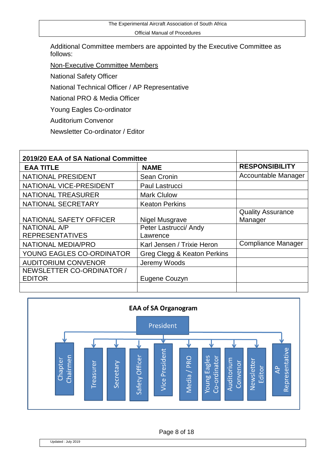The Experimental Aircraft Association of South Africa

Official Manual of Procedures

Additional Committee members are appointed by the Executive Committee as follows:

Non-Executive Committee Members

National Safety Officer

National Technical Officer / AP Representative

National PRO & Media Officer

Young Eagles Co-ordinator

Auditorium Convenor

Newsletter Co-ordinator / Editor

| 2019/20 EAA of SA National Committee                                                                                        |                                                                                                                  |                                                                  |
|-----------------------------------------------------------------------------------------------------------------------------|------------------------------------------------------------------------------------------------------------------|------------------------------------------------------------------|
| <b>EAA TITLE</b>                                                                                                            | <b>NAME</b>                                                                                                      | <b>RESPONSIBILITY</b>                                            |
| <b>NATIONAL PRESIDENT</b>                                                                                                   | Sean Cronin                                                                                                      | Accountable Manager                                              |
| NATIONAL VICE-PRESIDENT                                                                                                     | <b>Paul Lastrucci</b>                                                                                            |                                                                  |
| <b>NATIONAL TREASURER</b>                                                                                                   | <b>Mark Clulow</b>                                                                                               |                                                                  |
| NATIONAL SECRETARY                                                                                                          | <b>Keaton Perkins</b>                                                                                            |                                                                  |
| NATIONAL SAFETY OFFICER<br><b>NATIONAL A/P</b><br><b>REPRESENTATIVES</b><br>NATIONAL MEDIA/PRO<br>YOUNG EAGLES CO-ORDINATOR | Nigel Musgrave<br>Peter Lastrucci/ Andy<br>Lawrence<br>Karl Jensen / Trixie Heron<br>Greg Clegg & Keaton Perkins | <b>Quality Assurance</b><br>Manager<br><b>Compliance Manager</b> |
| <b>AUDITORIUM CONVENOR</b><br>NEWSLETTER CO-ORDINATOR /                                                                     | Jeremy Woods                                                                                                     |                                                                  |
| <b>EDITOR</b>                                                                                                               | Eugene Couzyn                                                                                                    |                                                                  |



Page 8 of 18

Updated : July 2019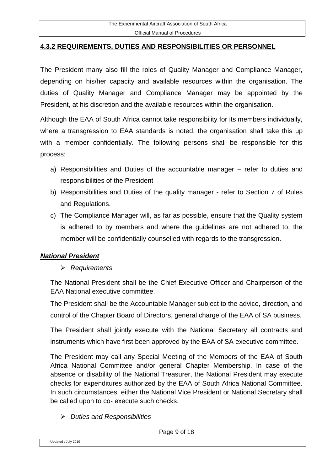#### **4.3.2 REQUIREMENTS, DUTIES AND RESPONSIBILITIES OR PERSONNEL**

The President many also fill the roles of Quality Manager and Compliance Manager, depending on his/her capacity and available resources within the organisation. The duties of Quality Manager and Compliance Manager may be appointed by the President, at his discretion and the available resources within the organisation.

Although the EAA of South Africa cannot take responsibility for its members individually, where a transgression to EAA standards is noted, the organisation shall take this up with a member confidentially. The following persons shall be responsible for this process:

- a) Responsibilities and Duties of the accountable manager refer to duties and responsibilities of the President
- b) Responsibilities and Duties of the quality manager refer to Section 7 of Rules and Regulations.
- c) The Compliance Manager will, as far as possible, ensure that the Quality system is adhered to by members and where the guidelines are not adhered to, the member will be confidentially counselled with regards to the transgression.

#### *National President*

#### *Requirements*

The National President shall be the Chief Executive Officer and Chairperson of the EAA National executive committee.

The President shall be the Accountable Manager subject to the advice, direction, and control of the Chapter Board of Directors, general charge of the EAA of SA business.

The President shall jointly execute with the National Secretary all contracts and instruments which have first been approved by the EAA of SA executive committee.

The President may call any Special Meeting of the Members of the EAA of South Africa National Committee and/or general Chapter Membership. In case of the absence or disability of the National Treasurer, the National President may execute checks for expenditures authorized by the EAA of South Africa National Committee. In such circumstances, either the National Vice President or National Secretary shall be called upon to co- execute such checks.

*Duties and Responsibilities*

Page 9 of 18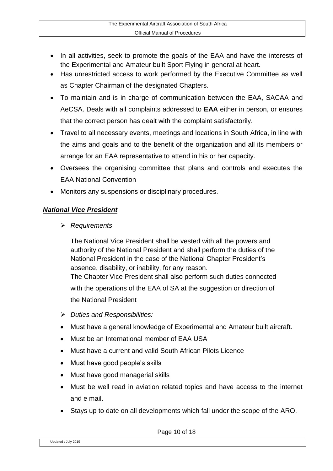- In all activities, seek to promote the goals of the EAA and have the interests of the Experimental and Amateur built Sport Flying in general at heart.
- Has unrestricted access to work performed by the Executive Committee as well as Chapter Chairman of the designated Chapters.
- To maintain and is in charge of communication between the EAA, SACAA and AeCSA. Deals with all complaints addressed to **EAA** either in person, or ensures that the correct person has dealt with the complaint satisfactorily.
- Travel to all necessary events, meetings and locations in South Africa, in line with the aims and goals and to the benefit of the organization and all its members or arrange for an EAA representative to attend in his or her capacity.
- Oversees the organising committee that plans and controls and executes the EAA National Convention
- Monitors any suspensions or disciplinary procedures.

#### *National Vice President*

*Requirements*

The National Vice President shall be vested with all the powers and authority of the National President and shall perform the duties of the National President in the case of the National Chapter President's absence, disability, or inability, for any reason. The Chapter Vice President shall also perform such duties connected with the operations of the EAA of SA at the suggestion or direction of the National President

- *Duties and Responsibilities:*
- Must have a general knowledge of Experimental and Amateur built aircraft.
- Must be an International member of EAA USA
- Must have a current and valid South African Pilots Licence
- Must have good people's skills
- Must have good managerial skills
- Must be well read in aviation related topics and have access to the internet and e mail.
- Stays up to date on all developments which fall under the scope of the ARO.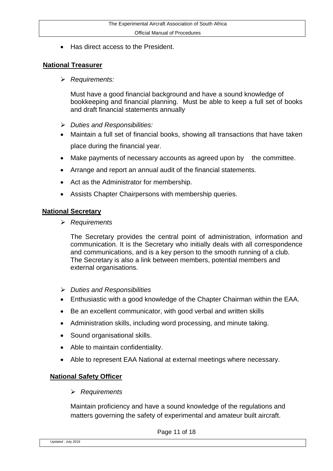Has direct access to the President.

#### **National Treasurer**

*Requirements:*

Must have a good financial background and have a sound knowledge of bookkeeping and financial planning. Must be able to keep a full set of books and draft financial statements annually

- *Duties and Responsibilities:*
- Maintain a full set of financial books, showing all transactions that have taken place during the financial year.
- Make payments of necessary accounts as agreed upon by the committee.
- Arrange and report an annual audit of the financial statements.
- Act as the Administrator for membership.
- Assists Chapter Chairpersons with membership queries.

#### **National Secretary**

*Requirements*

The Secretary provides the central point of administration, information and communication. It is the Secretary who initially deals with all correspondence and communications, and is a key person to the smooth running of a club. The Secretary is also a link between members, potential members and external organisations.

- *Duties and Responsibilities*
- Enthusiastic with a good knowledge of the Chapter Chairman within the EAA.
- Be an excellent communicator, with good verbal and written skills
- Administration skills, including word processing, and minute taking.
- Sound organisational skills.
- Able to maintain confidentiality.
- Able to represent EAA National at external meetings where necessary.

#### **National Safety Officer**

*Requirements*

Maintain proficiency and have a sound knowledge of the regulations and matters governing the safety of experimental and amateur built aircraft.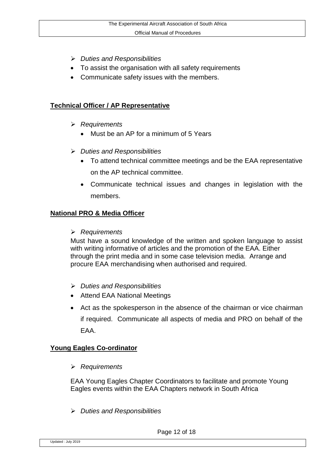- *Duties and Responsibilities*
- To assist the organisation with all safety requirements
- Communicate safety issues with the members.

#### **Technical Officer / AP Representative**

- *Requirements*
	- Must be an AP for a minimum of 5 Years
- *Duties and Responsibilities*
	- To attend technical committee meetings and be the EAA representative on the AP technical committee.
	- Communicate technical issues and changes in legislation with the members.

#### **National PRO & Media Officer**

#### *Requirements*

Must have a sound knowledge of the written and spoken language to assist with writing informative of articles and the promotion of the EAA. Either through the print media and in some case television media. Arrange and procure EAA merchandising when authorised and required.

- *Duties and Responsibilities*
- Attend EAA National Meetings
- Act as the spokesperson in the absence of the chairman or vice chairman if required. Communicate all aspects of media and PRO on behalf of the EAA.

#### **Young Eagles Co-ordinator**

*Requirements*

EAA Young Eagles Chapter Coordinators to facilitate and promote Young Eagles events within the EAA Chapters network in South Africa

*Duties and Responsibilities*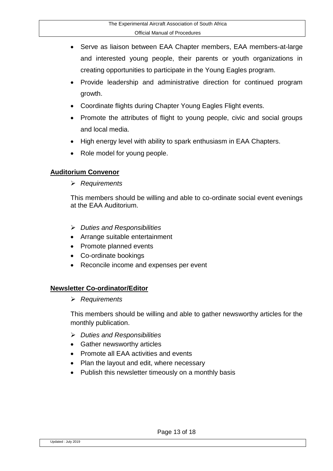- Serve as liaison between EAA Chapter members, EAA members-at-large and interested young people, their parents or youth organizations in creating opportunities to participate in the Young Eagles program.
- Provide leadership and administrative direction for continued program growth.
- Coordinate flights during Chapter Young Eagles Flight events.
- Promote the attributes of flight to young people, civic and social groups and local media.
- High energy level with ability to spark enthusiasm in EAA Chapters.
- Role model for young people.

#### **Auditorium Convenor**

*Requirements*

This members should be willing and able to co-ordinate social event evenings at the EAA Auditorium.

- *Duties and Responsibilities*
- Arrange suitable entertainment
- Promote planned events
- Co-ordinate bookings
- Reconcile income and expenses per event

#### **Newsletter Co-ordinator/Editor**

*Requirements*

This members should be willing and able to gather newsworthy articles for the monthly publication.

- *Duties and Responsibilities*
- Gather newsworthy articles
- Promote all EAA activities and events
- Plan the layout and edit, where necessary
- Publish this newsletter timeously on a monthly basis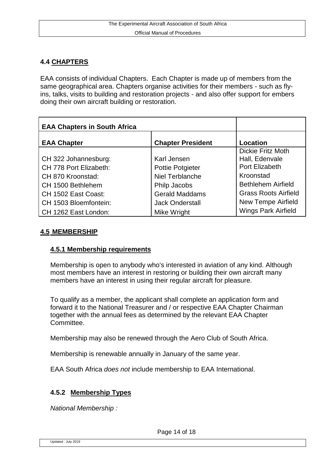#### **4.4 CHAPTERS**

EAA consists of individual Chapters. Each Chapter is made up of members from the same geographical area. Chapters organise activities for their members - such as flyins, talks, visits to building and restoration projects - and also offer support for embers doing their own aircraft building or restoration.

| <b>EAA Chapters in South Africa</b> |                          |                             |
|-------------------------------------|--------------------------|-----------------------------|
| <b>EAA Chapter</b>                  | <b>Chapter President</b> | Location                    |
|                                     |                          | <b>Dickie Fritz Moth</b>    |
| CH 322 Johannesburg:                | Karl Jensen              | Hall, Edenvale              |
| CH 778 Port Elizabeth:              | <b>Pottie Potgieter</b>  | Port Elizabeth              |
| CH 870 Kroonstad:                   | Niel Terblanche          | Kroonstad                   |
| CH 1500 Bethlehem                   | Philp Jacobs             | <b>Bethlehem Airfield</b>   |
| CH 1502 East Coast:                 | <b>Gerald Maddams</b>    | <b>Grass Roots Airfield</b> |
| CH 1503 Bloemfontein:               | <b>Jack Onderstall</b>   | <b>New Tempe Airfield</b>   |
| CH 1262 East London:                | Mike Wright              | <b>Wings Park Airfield</b>  |

#### **4.5 MEMBERSHIP**

#### **4.5.1 Membership requirements**

Membership is open to anybody who's interested in aviation of any kind. Although most members have an interest in restoring or building their own aircraft many members have an interest in using their regular aircraft for pleasure.

To qualify as a member, the applicant shall complete an application form and forward it to the National Treasurer and / or respective EAA Chapter Chairman together with the annual fees as determined by the relevant EAA Chapter Committee.

Membership may also be renewed through the Aero Club of South Africa.

Membership is renewable annually in January of the same year.

EAA South Africa *does not* include membership to EAA International.

#### **4.5.2 Membership Types**

*National Membership :*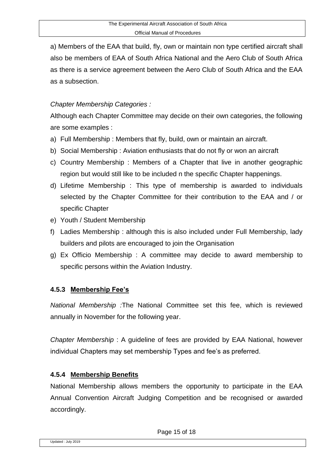a) Members of the EAA that build, fly, own or maintain non type certified aircraft shall also be members of EAA of South Africa National and the Aero Club of South Africa as there is a service agreement between the Aero Club of South Africa and the EAA as a subsection.

#### *Chapter Membership Categories :*

Although each Chapter Committee may decide on their own categories, the following are some examples :

- a) Full Membership : Members that fly, build, own or maintain an aircraft.
- b) Social Membership : Aviation enthusiasts that do not fly or won an aircraft
- c) Country Membership : Members of a Chapter that live in another geographic region but would still like to be included n the specific Chapter happenings.
- d) Lifetime Membership : This type of membership is awarded to individuals selected by the Chapter Committee for their contribution to the EAA and / or specific Chapter
- e) Youth / Student Membership
- f) Ladies Membership : although this is also included under Full Membership, lady builders and pilots are encouraged to join the Organisation
- g) Ex Officio Membership : A committee may decide to award membership to specific persons within the Aviation Industry.

#### **4.5.3 Membership Fee's**

*National Membership :*The National Committee set this fee, which is reviewed annually in November for the following year.

*Chapter Membership* : A guideline of fees are provided by EAA National, however individual Chapters may set membership Types and fee's as preferred.

#### **4.5.4 Membership Benefits**

National Membership allows members the opportunity to participate in the EAA Annual Convention Aircraft Judging Competition and be recognised or awarded accordingly.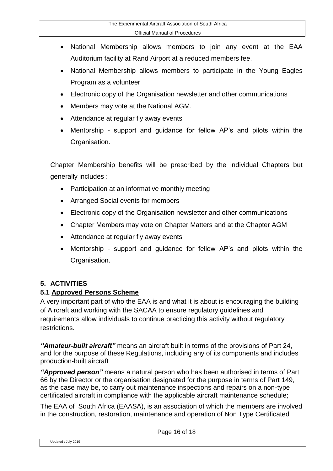- National Membership allows members to join any event at the EAA Auditorium facility at Rand Airport at a reduced members fee.
- National Membership allows members to participate in the Young Eagles Program as a volunteer
- Electronic copy of the Organisation newsletter and other communications
- Members may vote at the National AGM.
- Attendance at regular fly away events
- Mentorship support and guidance for fellow AP's and pilots within the Organisation.

Chapter Membership benefits will be prescribed by the individual Chapters but generally includes :

- Participation at an informative monthly meeting
- Arranged Social events for members
- Electronic copy of the Organisation newsletter and other communications
- Chapter Members may vote on Chapter Matters and at the Chapter AGM
- Attendance at regular fly away events
- Mentorship support and guidance for fellow AP's and pilots within the Organisation.

#### **5. ACTIVITIES**

#### **5.1 Approved Persons Scheme**

A very important part of who the EAA is and what it is about is encouraging the building of Aircraft and working with the SACAA to ensure regulatory guidelines and requirements allow individuals to continue practicing this activity without regulatory restrictions.

*"Amateur-built aircraft"* means an aircraft built in terms of the provisions of Part 24, and for the purpose of these Regulations, including any of its components and includes production-built aircraft

*"Approved person"* means a natural person who has been authorised in terms of Part 66 by the Director or the organisation designated for the purpose in terms of Part 149, as the case may be, to carry out maintenance inspections and repairs on a non-type certificated aircraft in compliance with the applicable aircraft maintenance schedule;

The EAA of South Africa (EAASA), is an association of which the members are involved in the construction, restoration, maintenance and operation of Non Type Certificated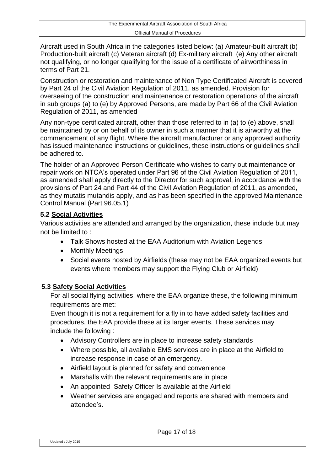Aircraft used in South Africa in the categories listed below: (a) Amateur-built aircraft (b) Production-built aircraft (c) Veteran aircraft (d) Ex-military aircraft (e) Any other aircraft not qualifying, or no longer qualifying for the issue of a certificate of airworthiness in terms of Part 21.

Construction or restoration and maintenance of Non Type Certificated Aircraft is covered by Part 24 of the Civil Aviation Regulation of 2011, as amended. Provision for overseeing of the construction and maintenance or restoration operations of the aircraft in sub groups (a) to (e) by Approved Persons, are made by Part 66 of the Civil Aviation Regulation of 2011, as amended

Any non-type certificated aircraft, other than those referred to in (a) to (e) above, shall be maintained by or on behalf of its owner in such a manner that it is airworthy at the commencement of any flight. Where the aircraft manufacturer or any approved authority has issued maintenance instructions or guidelines, these instructions or guidelines shall be adhered to.

The holder of an Approved Person Certificate who wishes to carry out maintenance or repair work on NTCA's operated under Part 96 of the Civil Aviation Regulation of 2011, as amended shall apply directly to the Director for such approval, in accordance with the provisions of Part 24 and Part 44 of the Civil Aviation Regulation of 2011, as amended, as they mutatis mutandis apply, and as has been specified in the approved Maintenance Control Manual (Part 96.05.1)

#### **5.2 Social Activities**

Various activities are attended and arranged by the organization, these include but may not be limited to :

- Talk Shows hosted at the EAA Auditorium with Aviation Legends
- Monthly Meetings
- Social events hosted by Airfields (these may not be EAA organized events but events where members may support the Flying Club or Airfield)

#### **5.3 Safety Social Activities**

For all social flying activities, where the EAA organize these, the following minimum requirements are met:

Even though it is not a requirement for a fly in to have added safety facilities and procedures, the EAA provide these at its larger events. These services may include the following :

- Advisory Controllers are in place to increase safety standards
- Where possible, all available EMS services are in place at the Airfield to increase response in case of an emergency.
- Airfield layout is planned for safety and convenience
- Marshalls with the relevant requirements are in place
- An appointed Safety Officer Is available at the Airfield
- Weather services are engaged and reports are shared with members and attendee's.

Page 17 of 18